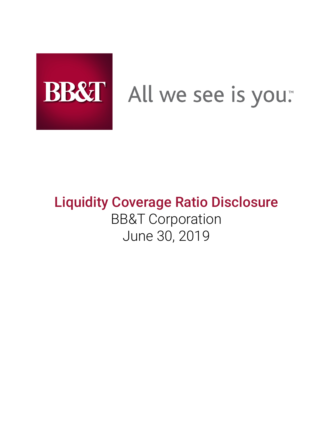

# BB&T All we see is you.

# Liquidity Coverage Ratio Disclosure BB&T Corporation June 30, 2019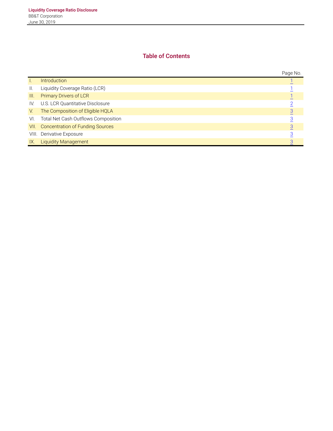# **Table of Contents**

|                 |                                       | Page No. |
|-----------------|---------------------------------------|----------|
|                 | <b>Introduction</b>                   |          |
| $\mathbf{II}$ . | Liquidity Coverage Ratio (LCR)        |          |
| III.            | Primary Drivers of LCR                |          |
| IV.             | U.S. LCR Quantitative Disclosure      |          |
| V.              | The Composition of Eligible HQLA      |          |
| VI.             | Total Net Cash Outflows Composition   |          |
|                 | VII. Concentration of Funding Sources | 3        |
|                 | VIII. Derivative Exposure             |          |
| IX.             | <b>Liquidity Management</b>           |          |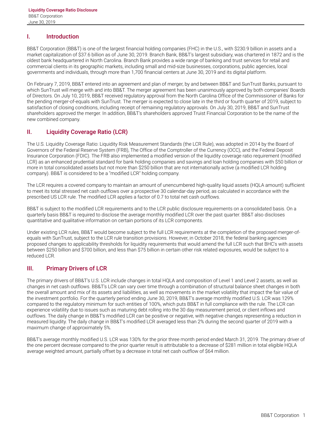#### <span id="page-2-0"></span>**I. Introduction**

BB&T Corporation (BB&T) is one of the largest financial holding companies (FHC) in the U.S., with \$230.9 billion in assets and a market capitalization of \$37.6 billion as of June 30, 2019. Branch Bank, BB&T's largest subsidiary, was chartered in 1872 and is the oldest bank headquartered in North Carolina. Branch Bank provides a wide range of banking and trust services for retail and commercial clients in its geographic markets, including small and mid-size businesses, corporations, public agencies, local governments and individuals, through more than 1,700 financial centers at June 30, 2019 and its digital platform.

On February 7, 2019, BB&T entered into an agreement and plan of merger, by and between BB&T and SunTrust Banks, pursuant to which SunTrust will merge with and into BB&T. The merger agreement has been unanimously approved by both companies' Boards of Directors. On July 10, 2019, BB&T received regulatory approval from the North Carolina Office of the Commissioner of Banks for the pending merger-of-equals with SunTrust. The merger is expected to close late in the third or fourth quarter of 2019, subject to satisfaction of closing conditions, including receipt of remaining regulatory approvals. On July 30, 2019, BB&T and SunTrust shareholders approved the merger. In addition, BB&T's shareholders approved Truist Financial Corporation to be the name of the new combined company.

### **II. Liquidity Coverage Ratio (LCR)**

The U.S. Liquidity Coverage Ratio: Liquidity Risk Measurement Standards (the LCR Rule), was adopted in 2014 by the Board of Governors of the Federal Reserve System (FRB), The Office of the Comptroller of the Currency (OCC), and the Federal Deposit Insurance Corporation (FDIC). The FRB also implemented a modified version of the liquidity coverage ratio requirement (modified LCR) as an enhanced prudential standard for bank holding companies and savings and loan holding companies with \$50 billion or more in total consolidated assets but not more than \$250 billion that are not internationally active (a modified LCR holding company). BB&T is considered to be a "modified LCR" holding company.

The LCR requires a covered company to maintain an amount of unencumbered high-quality liquid assets (HQLA amount) sufficient to meet its total stressed net cash outflows over a prospective 30 calendar-day period, as calculated in accordance with the prescribed US LCR rule. The modified LCR applies a factor of 0.7 to total net cash outflows.

BB&T is subject to the modified LCR requirements and to the LCR public disclosure requirements on a consolidated basis. On a quarterly basis BB&T is required to disclose the average monthly modified LCR over the past quarter. BB&T also discloses quantitative and qualitative information on certain portions of its LCR components.

Under existing LCR rules, BB&T would become subject to the full LCR requirements at the completion of the proposed merger-ofequals with SunTrust, subject to the LCR rule transition provisions. However, in October 2018, the federal banking agencies proposed changes to applicability thresholds for liquidity requirements that would amend the full LCR such that BHC's with assets between \$250 billion and \$700 billion, and less than \$75 billion in certain other risk related exposures, would be subject to a reduced LCR.

### **III. Primary Drivers of LCR**

The primary drivers of BB&T's U.S. LCR include changes in total HQLA and composition of Level 1 and Level 2 assets, as well as changes in net cash outflows. BB&T's LCR can vary over time through a combination of structural balance sheet changes in both the overall amount and mix of its assets and liabilities, as well as movements in the market volatility that impact the fair value of the investment portfolio. For the quarterly period ending June 30, 2019, BB&T's average monthly modified U.S. LCR was 129% compared to the regulatory minimum for such entities of 100%, which puts BB&T in full compliance with the rule. The LCR can experience volatility due to issues such as maturing debt rolling into the 30 day measurement period, or client inflows and outflows. The daily change in BB&T's modified LCR can be positive or negative, with negative changes representing a reduction in measured liquidity. The daily change in BB&T's modified LCR averaged less than 2% during the second quarter of 2019 with a maximum change of approximately 5%.

BB&T's average monthly modified U.S. LCR was 130% for the prior three month period ended March 31, 2019. The primary driver of the one percent decrease compared to the prior quarter result is attributable to a decrease of \$281 million in total eligible HQLA average weighted amount, partially offset by a decrease in total net cash outflow of \$64 million.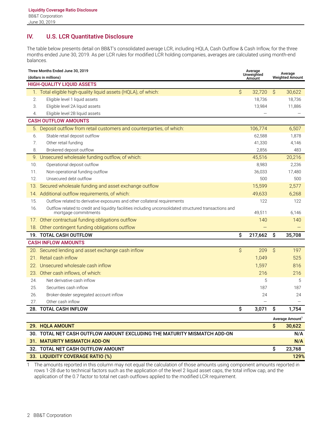## <span id="page-3-0"></span>**IV. U.S. LCR Quantitative Disclosure**

The table below presents detail on BB&T's consolidated average LCR, including HQLA, Cash Outflow & Cash Inflow, for the three months ended June 30, 2019. As per LCR rules for modified LCR holding companies, averages are calculated using month-end balances.

| Three Months Ended June 30, 2019<br>(dollars in millions) |                                                                                                                                 |              | Average<br>Unweighted |              | Average<br><b>Weighted Amount</b> |  |  |
|-----------------------------------------------------------|---------------------------------------------------------------------------------------------------------------------------------|--------------|-----------------------|--------------|-----------------------------------|--|--|
|                                                           | <b>HIGH-QUALITY LIQUID ASSETS</b>                                                                                               |              | Amount                |              |                                   |  |  |
|                                                           | 1. Total eligible high-quality liquid assets (HQLA), of which:                                                                  | $\mathsf{S}$ | 32,720                | $\mathsf{S}$ | 30,622                            |  |  |
| 2.                                                        | Eligible level 1 liquid assets                                                                                                  |              | 18,736                |              | 18,736                            |  |  |
| 3.                                                        | Eligible level 2A liquid assets                                                                                                 |              | 13,984                |              | 11,886                            |  |  |
| 4.                                                        | Eligible level 2B liquid assets                                                                                                 |              |                       |              |                                   |  |  |
| <b>CASH OUTFLOW AMOUNTS</b>                               |                                                                                                                                 |              |                       |              |                                   |  |  |
| 5.                                                        | Deposit outflow from retail customers and counterparties, of which:                                                             |              | 106,774               |              | 6,507                             |  |  |
| 6.                                                        | Stable retail deposit outflow                                                                                                   |              | 62,588                |              | 1,878                             |  |  |
| 7.                                                        | Other retail funding                                                                                                            |              | 41,330                |              | 4,146                             |  |  |
| 8.                                                        | Brokered deposit outflow                                                                                                        |              | 2,856                 |              | 483                               |  |  |
| 9.                                                        | Unsecured wholesale funding outflow, of which:                                                                                  |              | 45,516                |              | 20,216                            |  |  |
| 10.                                                       | Operational deposit outflow                                                                                                     |              | 8,983                 |              | 2,236                             |  |  |
| 11.                                                       | Non-operational funding outflow                                                                                                 |              | 36,033                |              | 17,480                            |  |  |
| 12.                                                       | Unsecured debt outflow                                                                                                          |              | 500                   |              | 500                               |  |  |
| 13.                                                       | Secured wholesale funding and asset exchange outflow                                                                            |              | 15,599                |              | 2,577                             |  |  |
|                                                           | 14. Additional outflow requirements, of which:                                                                                  |              | 49,633                |              | 6,268                             |  |  |
| 15.                                                       | Outflow related to derivative exposures and other collateral requirements                                                       |              | 122                   |              | 122                               |  |  |
| 16.                                                       | Outflow related to credit and liquidity facilities including unconsolidated structured transactions and<br>mortgage commitments |              | 49,511                |              | 6,146                             |  |  |
| $1/$ .                                                    | Other contractual funding obligations outflow                                                                                   |              | 140                   |              | 140                               |  |  |
| 18.                                                       | Other contingent funding obligations outflow                                                                                    |              |                       |              |                                   |  |  |
|                                                           | 19. TOTAL CASH OUTFLOW                                                                                                          | \$           | 217,662               | \$           | 35,708                            |  |  |
| <b>CASH INFLOW AMOUNTS</b>                                |                                                                                                                                 |              |                       |              |                                   |  |  |
|                                                           | 20. Secured lending and asset exchange cash inflow                                                                              | $\hat{S}$    | 209                   | \$           | 197                               |  |  |
| 21.                                                       | Retail cash inflow                                                                                                              |              | 1,049                 |              | 525                               |  |  |
| 22.                                                       | Unsecured wholesale cash inflow                                                                                                 |              | 1,597                 |              | 816                               |  |  |
| 23.                                                       | Other cash inflows, of which:                                                                                                   |              | 216                   |              | 216                               |  |  |
| 24.                                                       | Net derivative cash inflow                                                                                                      |              | 5                     |              | 5                                 |  |  |
| 25.                                                       | Securities cash inflow                                                                                                          |              | 187                   |              | 187                               |  |  |
| 26.                                                       | Broker-dealer segregated account inflow                                                                                         |              | 24                    |              | 24                                |  |  |
| 27.                                                       | Other cash inflow                                                                                                               |              |                       |              |                                   |  |  |
|                                                           | 28. TOTAL CASH INFLOW                                                                                                           | \$           | 3,071                 | \$           | 1,754                             |  |  |
|                                                           |                                                                                                                                 |              |                       |              | Average Amount <sup>1</sup>       |  |  |
|                                                           | 29. HQLA AMOUNT                                                                                                                 |              |                       | \$           | 30,622                            |  |  |
|                                                           | 30. TOTAL NET CASH OUTFLOW AMOUNT EXCLUDING THE MATURITY MISMATCH ADD-ON                                                        |              |                       |              | N/A                               |  |  |
|                                                           | 31. MATURITY MISMATCH ADD-ON                                                                                                    |              |                       |              | N/A                               |  |  |
|                                                           | 32. TOTAL NET CASH OUTFLOW AMOUNT                                                                                               |              |                       | \$           | 23,768                            |  |  |
|                                                           | 33. LIQUIDITY COVERAGE RATIO (%)                                                                                                |              |                       |              | 129%                              |  |  |

1 The amounts reported in this column may not equal the calculation of those amounts using component amounts reported in rows 1-28 due to technical factors such as the application of the level 2 liquid asset caps, the total inflow cap, and the application of the 0.7 factor to total net cash outflows applied to the modified LCR requirement.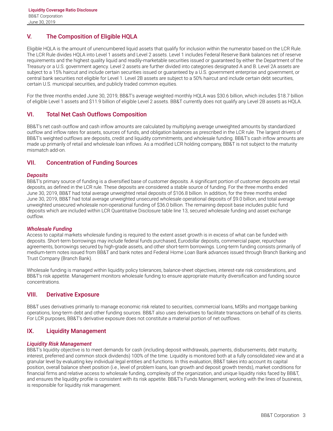# <span id="page-4-0"></span>**V. The Composition of Eligible HQLA**

Eligible HQLA is the amount of unencumbered liquid assets that qualify for inclusion within the numerator based on the LCR Rule. The LCR Rule divides HQLA into Level 1 assets and Level 2 assets. Level 1 includes Federal Reserve Bank balances net of reserve requirements and the highest quality liquid and readily-marketable securities issued or guaranteed by either the Department of the Treasury or a U.S. government agency. Level 2 assets are further divided into categories designated A and B. Level 2A assets are subject to a 15% haircut and include certain securities issued or guaranteed by a U.S. government enterprise and government, or central bank securities not eligible for Level 1. Level 2B assets are subject to a 50% haircut and include certain debt securities, certain U.S. municipal securities, and publicly traded common equities.

For the three months ended June 30, 2019, BB&T's average weighted monthly HQLA was \$30.6 billion, which includes \$18.7 billion of eligible Level 1 assets and \$11.9 billion of eligible Level 2 assets. BB&T currently does not qualify any Level 2B assets as HQLA.

#### **VI. Total Net Cash Outflows Composition**

BB&T's net cash outflow and cash inflow amounts are calculated by multiplying average unweighted amounts by standardized outflow and inflow rates for assets, sources of funds, and obligation balances as prescribed in the LCR rule. The largest drivers of BB&T's weighted outflows are deposits, credit and liquidity commitments, and wholesale funding. BB&T's cash inflow amounts are made up primarily of retail and wholesale loan inflows. As a modified LCR holding company, BB&T is not subject to the maturity mismatch add-on.

#### **VII. Concentration of Funding Sources**

#### *Deposits*

BB&T's primary source of funding is a diversified base of customer deposits. A significant portion of customer deposits are retail deposits, as defined in the LCR rule. These deposits are considered a stable source of funding. For the three months ended June 30, 2019, BB&T had total average unweighted retail deposits of \$106.8 billion. In addition, for the three months ended June 30, 2019, BB&T had total average unweighted unsecured wholesale operational deposits of \$9.0 billion, and total average unweighted unsecured wholesale non-operational funding of \$36.0 billion. The remaining deposit base includes public fund deposits which are included within LCR Quantitative Disclosure table line 13, secured wholesale funding and asset exchange outflow.

#### *Wholesale Funding*

Access to capital markets wholesale funding is required to the extent asset growth is in excess of what can be funded with deposits. Short-term borrowings may include federal funds purchased, Eurodollar deposits, commercial paper, repurchase agreements, borrowings secured by high-grade assets, and other short-term borrowings. Long-term funding consists primarily of medium-term notes issued from BB&T and bank notes and Federal Home Loan Bank advances issued through Branch Banking and Trust Company (Branch Bank).

Wholesale funding is managed within liquidity policy tolerances, balance-sheet objectives, interest-rate risk considerations, and BB&T's risk appetite. Management monitors wholesale funding to ensure appropriate maturity diversification and funding source concentrations.

#### **VIII. Derivative Exposure**

BB&T uses derivatives primarily to manage economic risk related to securities, commercial loans, MSRs and mortgage banking operations, long-term debt and other funding sources. BB&T also uses derivatives to facilitate transactions on behalf of its clients. For LCR purposes, BB&T's derivative exposure does not constitute a material portion of net outflows.

#### **IX. Liquidity Management**

#### *Liquidity Risk Management*

BB&T's liquidity objective is to meet demands for cash (including deposit withdrawals, payments, disbursements, debt maturity, interest, preferred and common stock dividends) 100% of the time. Liquidity is monitored both at a fully consolidated view and at a granular level by evaluating key individual legal entities and functions. In this evaluation, BB&T takes into account its capital position, overall balance sheet position (i.e., level of problem loans, loan growth and deposit growth trends), market conditions for financial firms and relative access to wholesale funding, complexity of the organization, and unique liquidity risks faced by BB&T, and ensures the liquidity profile is consistent with its risk appetite. BB&T's Funds Management, working with the lines of business, is responsible for liquidity risk management.